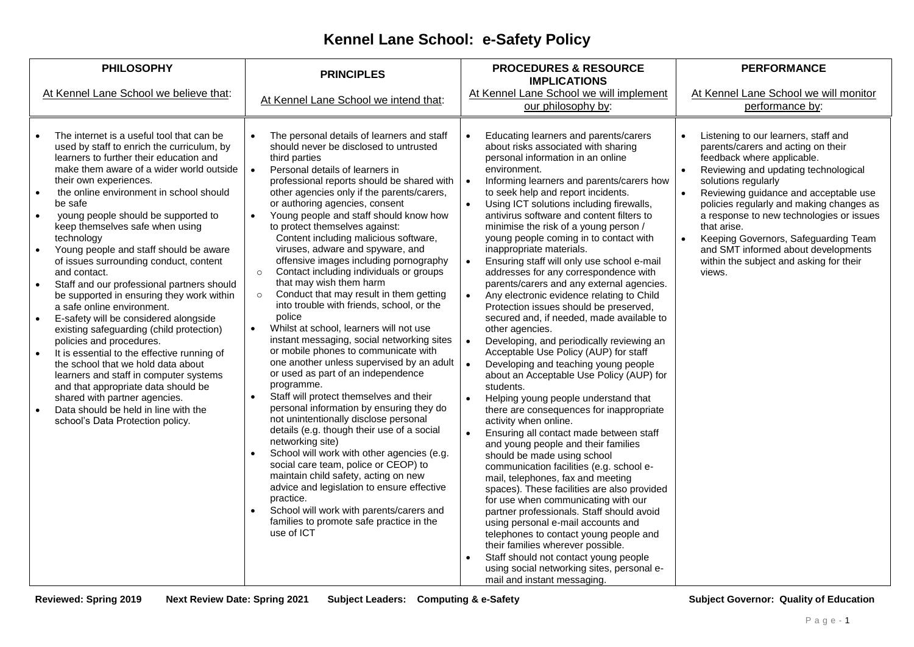## **Kennel Lane School: e-Safety Policy**

| <b>PHILOSOPHY</b>                                                                                                                                                                                                                                                                                                                                                                                                                                                                                                                                                                                                                                                                                                                                                                                                                                                                                                                                                                                                                           | <b>PRINCIPLES</b>                                                                                                                                                                                                                                                                                                                                                                                                                                                                                                                                                                                                                                                                                                                                                                                                                                                                                                                                                                                                                                                                                                                                                                                                                                                                                                                                                                                                                    | <b>PROCEDURES &amp; RESOURCE</b><br><b>IMPLICATIONS</b>                                                                                                                                                                                                                                                                                                                                                                                                                                                                                                                                                                                                                                                                                                                                                                                                                                                                                                                                                                                                                                                                                                                                                                                                                                                                                                                                                                                                                                                                                                                                                                                                                                                                          | <b>PERFORMANCE</b>                                                                                                                                                                                                                                                                                                                                                                                                                                                                    |
|---------------------------------------------------------------------------------------------------------------------------------------------------------------------------------------------------------------------------------------------------------------------------------------------------------------------------------------------------------------------------------------------------------------------------------------------------------------------------------------------------------------------------------------------------------------------------------------------------------------------------------------------------------------------------------------------------------------------------------------------------------------------------------------------------------------------------------------------------------------------------------------------------------------------------------------------------------------------------------------------------------------------------------------------|--------------------------------------------------------------------------------------------------------------------------------------------------------------------------------------------------------------------------------------------------------------------------------------------------------------------------------------------------------------------------------------------------------------------------------------------------------------------------------------------------------------------------------------------------------------------------------------------------------------------------------------------------------------------------------------------------------------------------------------------------------------------------------------------------------------------------------------------------------------------------------------------------------------------------------------------------------------------------------------------------------------------------------------------------------------------------------------------------------------------------------------------------------------------------------------------------------------------------------------------------------------------------------------------------------------------------------------------------------------------------------------------------------------------------------------|----------------------------------------------------------------------------------------------------------------------------------------------------------------------------------------------------------------------------------------------------------------------------------------------------------------------------------------------------------------------------------------------------------------------------------------------------------------------------------------------------------------------------------------------------------------------------------------------------------------------------------------------------------------------------------------------------------------------------------------------------------------------------------------------------------------------------------------------------------------------------------------------------------------------------------------------------------------------------------------------------------------------------------------------------------------------------------------------------------------------------------------------------------------------------------------------------------------------------------------------------------------------------------------------------------------------------------------------------------------------------------------------------------------------------------------------------------------------------------------------------------------------------------------------------------------------------------------------------------------------------------------------------------------------------------------------------------------------------------|---------------------------------------------------------------------------------------------------------------------------------------------------------------------------------------------------------------------------------------------------------------------------------------------------------------------------------------------------------------------------------------------------------------------------------------------------------------------------------------|
| At Kennel Lane School we believe that:                                                                                                                                                                                                                                                                                                                                                                                                                                                                                                                                                                                                                                                                                                                                                                                                                                                                                                                                                                                                      | At Kennel Lane School we intend that:                                                                                                                                                                                                                                                                                                                                                                                                                                                                                                                                                                                                                                                                                                                                                                                                                                                                                                                                                                                                                                                                                                                                                                                                                                                                                                                                                                                                | At Kennel Lane School we will implement<br>our philosophy by:                                                                                                                                                                                                                                                                                                                                                                                                                                                                                                                                                                                                                                                                                                                                                                                                                                                                                                                                                                                                                                                                                                                                                                                                                                                                                                                                                                                                                                                                                                                                                                                                                                                                    | At Kennel Lane School we will monitor<br>performance by:                                                                                                                                                                                                                                                                                                                                                                                                                              |
| The internet is a useful tool that can be<br>used by staff to enrich the curriculum, by<br>learners to further their education and<br>make them aware of a wider world outside<br>their own experiences.<br>the online environment in school should<br>be safe<br>young people should be supported to<br>$\bullet$<br>keep themselves safe when using<br>technology<br>Young people and staff should be aware<br>of issues surrounding conduct, content<br>and contact.<br>Staff and our professional partners should<br>be supported in ensuring they work within<br>a safe online environment.<br>E-safety will be considered alongside<br>$\bullet$<br>existing safeguarding (child protection)<br>policies and procedures.<br>It is essential to the effective running of<br>$\bullet$<br>the school that we hold data about<br>learners and staff in computer systems<br>and that appropriate data should be<br>shared with partner agencies.<br>Data should be held in line with the<br>$\bullet$<br>school's Data Protection policy. | The personal details of learners and staff<br>should never be disclosed to untrusted<br>third parties<br>Personal details of learners in<br>professional reports should be shared with<br>other agencies only if the parents/carers,<br>or authoring agencies, consent<br>Young people and staff should know how<br>to protect themselves against:<br>Content including malicious software,<br>viruses, adware and spyware, and<br>offensive images including pornography<br>Contact including individuals or groups<br>$\circ$<br>that may wish them harm<br>Conduct that may result in them getting<br>$\circ$<br>into trouble with friends, school, or the<br>police<br>Whilst at school, learners will not use<br>$\bullet$<br>instant messaging, social networking sites<br>or mobile phones to communicate with<br>one another unless supervised by an adult<br>or used as part of an independence<br>programme.<br>Staff will protect themselves and their<br>personal information by ensuring they do<br>not unintentionally disclose personal<br>details (e.g. though their use of a social<br>networking site)<br>School will work with other agencies (e.g.<br>social care team, police or CEOP) to<br>maintain child safety, acting on new<br>advice and legislation to ensure effective<br>practice.<br>School will work with parents/carers and<br>$\bullet$<br>families to promote safe practice in the<br>use of ICT | Educating learners and parents/carers<br>$\bullet$<br>about risks associated with sharing<br>personal information in an online<br>environment.<br>Informing learners and parents/carers how<br>$\bullet$<br>to seek help and report incidents.<br>Using ICT solutions including firewalls,<br>$\bullet$<br>antivirus software and content filters to<br>minimise the risk of a young person /<br>young people coming in to contact with<br>inappropriate materials.<br>Ensuring staff will only use school e-mail<br>$\bullet$<br>addresses for any correspondence with<br>parents/carers and any external agencies.<br>Any electronic evidence relating to Child<br>$\bullet$<br>Protection issues should be preserved,<br>secured and, if needed, made available to<br>other agencies.<br>$\bullet$<br>Developing, and periodically reviewing an<br>Acceptable Use Policy (AUP) for staff<br>$\bullet$<br>Developing and teaching young people<br>about an Acceptable Use Policy (AUP) for<br>students.<br>Helping young people understand that<br>$\bullet$<br>there are consequences for inappropriate<br>activity when online.<br>$\bullet$<br>Ensuring all contact made between staff<br>and young people and their families<br>should be made using school<br>communication facilities (e.g. school e-<br>mail, telephones, fax and meeting<br>spaces). These facilities are also provided<br>for use when communicating with our<br>partner professionals. Staff should avoid<br>using personal e-mail accounts and<br>telephones to contact young people and<br>their families wherever possible.<br>Staff should not contact young people<br>using social networking sites, personal e-<br>mail and instant messaging. | Listening to our learners, staff and<br>parents/carers and acting on their<br>feedback where applicable.<br>Reviewing and updating technological<br>solutions regularly<br>Reviewing guidance and acceptable use<br>$\bullet$<br>policies regularly and making changes as<br>a response to new technologies or issues<br>that arise.<br>Keeping Governors, Safeguarding Team<br>$\bullet$<br>and SMT informed about developments<br>within the subject and asking for their<br>views. |